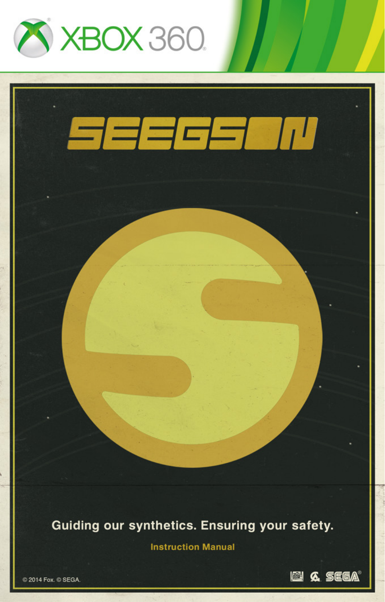

# SEEGSAN

Guiding our synthetics. Ensuring your safety.

**Instruction Manual** 

2014 Fox. @ SEGA

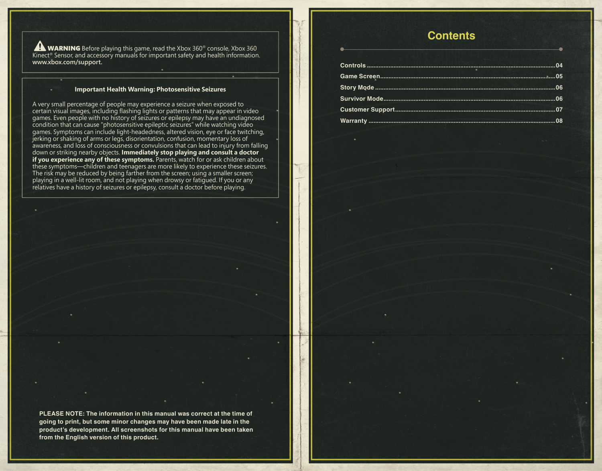**WARNING** Before playing this game, read the Xbox 360<sup>®</sup> console, Xbox 360 Kinect<sup>®</sup> Sensor, and accessory manuals for important safety and health information. **www.xbox.com/support.**

#### **Important Health Warning: Photosensitive Seizures**

A very small percentage of people may experience a seizure when exposed to certain visual images, including flashing lights or patterns that may appear in video games. Even people with no history of seizures or epilepsy may have an undiagnosed condition that can cause "photosensitive epileptic seizures" while watching video games. Symptoms can include light-headedness, altered vision, eye or face twitching, jerking or shaking of arms or legs, disorientation, confusion, momentary loss of awareness, and loss of consciousness or convulsions that can lead to injury from falling down or striking nearby objects. **Immediately stop playing and consult a doctor if you experience any of these symptoms.** Parents, watch for or ask children about<br>these symptoms—children and teenagers are more likely to experience these seizures.<br>The risk may be reduced by being farther from the scre playing in a well-lit room, and not playing when drowsy or fatigued. If you or any relatives have a history of seizures or epilepsy, consult a doctor before playing.

#### **Contents**

| Survivor Mode…………………………………………………………………………………………06 |  |
|---------------------------------------------------|--|
|                                                   |  |
|                                                   |  |

**PLEASE NOTE: The information in this manual was correct at the time of going to print, but some minor changes may have been made late in the product's development. All screenshots for this manual have been taken from the English version of this product.**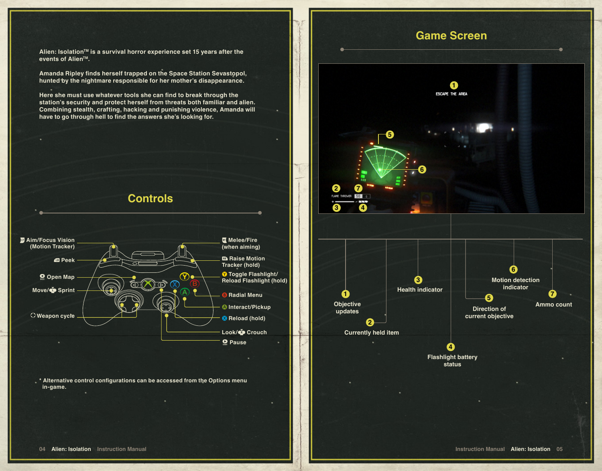**Alien: IsolationTM is a survival horror experience set 15 years after the events of Alien™.** 

**Amanda Ripley finds herself trapped on the Space Station Sevastopol, hunted by the nightmare responsible for her mother's disappearance.** 

**Here she must use whatever tools she can find to break through the station's security and protect herself from threats both familiar and alien. Combining stealth, crafting, hacking and punishing violence, Amanda will have to go through hell to find the answers she's looking for.**



**\* Alternative control configurations can be accessed from the Options menu in-game.**

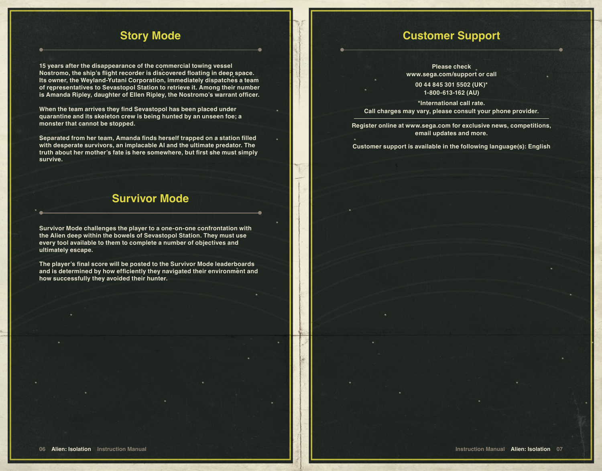**15 years after the disappearance of the commercial towing vessel Nostromo, the ship's flight recorder is discovered floating in deep space. Its owner, the Weyland-Yutani Corporation, immediately dispatches a team of representatives to Sevastopol Station to retrieve it. Among their number is Amanda Ripley, daughter of Ellen Ripley, the Nostromo's warrant officer.**

**When the team arrives they find Sevastopol has been placed under quarantine and its skeleton crew is being hunted by an unseen foe; a monster that cannot be stopped.**

**Separated from her team, Amanda finds herself trapped on a station filled with desperate survivors, an implacable AI and the ultimate predator. The truth about her mother's fate is here somewhere, but first she must simply survive.**

# **Survivor Mode**

**Survivor Mode challenges the player to a one-on-one confrontation with the Alien deep within the bowels of Sevastopol Station. They must use every tool available to them to complete a number of objectives and ultimately escape.** 

**The player's final score will be posted to the Survivor Mode leaderboards and is determined by how efficiently they navigated their environment and how successfully they avoided their hunter.**

## **Story Mode Customer Support**

**Please check www.sega.com/support or call** 

**00 44 845 301 5502 (UK)\* 1-800-613-162 (AU)**

**\*International call rate. Call charges may vary, please consult your phone provider.**

**Register online at www.sega.com for exclusive news, competitions, email updates and more.**

**Customer support is available in the following language(s): English**